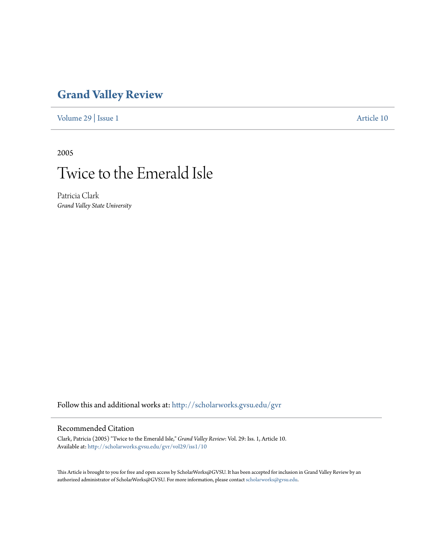### **[Grand Valley Review](http://scholarworks.gvsu.edu/gvr?utm_source=scholarworks.gvsu.edu%2Fgvr%2Fvol29%2Fiss1%2F10&utm_medium=PDF&utm_campaign=PDFCoverPages)**

[Volume 29](http://scholarworks.gvsu.edu/gvr/vol29?utm_source=scholarworks.gvsu.edu%2Fgvr%2Fvol29%2Fiss1%2F10&utm_medium=PDF&utm_campaign=PDFCoverPages) | [Issue 1](http://scholarworks.gvsu.edu/gvr/vol29/iss1?utm_source=scholarworks.gvsu.edu%2Fgvr%2Fvol29%2Fiss1%2F10&utm_medium=PDF&utm_campaign=PDFCoverPages) [Article 10](http://scholarworks.gvsu.edu/gvr/vol29/iss1/10?utm_source=scholarworks.gvsu.edu%2Fgvr%2Fvol29%2Fiss1%2F10&utm_medium=PDF&utm_campaign=PDFCoverPages)

2005

# Twice to the Emerald Isle

Patricia Clark *Grand Valley State University*

Follow this and additional works at: [http://scholarworks.gvsu.edu/gvr](http://scholarworks.gvsu.edu/gvr?utm_source=scholarworks.gvsu.edu%2Fgvr%2Fvol29%2Fiss1%2F10&utm_medium=PDF&utm_campaign=PDFCoverPages)

#### Recommended Citation

Clark, Patricia (2005) "Twice to the Emerald Isle," *Grand Valley Review*: Vol. 29: Iss. 1, Article 10. Available at: [http://scholarworks.gvsu.edu/gvr/vol29/iss1/10](http://scholarworks.gvsu.edu/gvr/vol29/iss1/10?utm_source=scholarworks.gvsu.edu%2Fgvr%2Fvol29%2Fiss1%2F10&utm_medium=PDF&utm_campaign=PDFCoverPages)

This Article is brought to you for free and open access by ScholarWorks@GVSU. It has been accepted for inclusion in Grand Valley Review by an authorized administrator of ScholarWorks@GVSU. For more information, please contact [scholarworks@gvsu.edu.](mailto:scholarworks@gvsu.edu)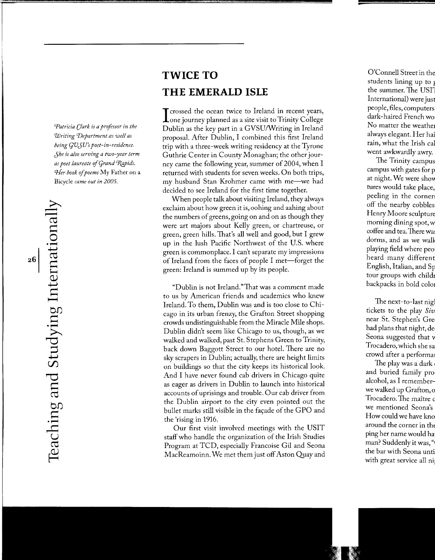*Patricia Clark is a professor in the Writing 'Department as well as being qVJU's poet-in-residence. Jhe is also serving a two-year term as poet laureate of Grand Rapids. 'l!er book* of *poems* My Father on a Bicycle *came out in 2005.* 

## **r--" r--"**  ro  $\geq$ —<br> atio  $H_{\pm}$  $\mathbf \omega$ *4--J*  <sup>~</sup>**<sup>H</sup>**  $\overline{\omega}$  $\equiv$   $\equiv$  $\sum_{i=1}^n$ TO.  ${\rm St}$ **roo**   $\Xi^ \overline{a}$  $\boldsymbol{\Xi}$  . ب<br>ب  $\tilde{\mathcal{D}}$  $\vdash$

## **TWICE TO THE EMERALD ISLE**

I crossed the ocean twice to Ireland in recent years,<br>
one journey planned as a site visit to Trinity College Crossed the ocean twice to Ireland in recent years, Dublin as the key part in a GVSU/Writing in Ireland proposal. After Dublin, I combined this first Ireland trip with a three-week writing residency at the Tyrone Guthrie Center in County Monaghan; the other journey came the following year, summer of 2004, when I returned with students for seven weeks. On both trips, my husband Stan Krohmer came with me-we had decided to see Ireland for the first time together.

When people talk about visiting Ireland, they always exclaim about how green it is, oohing and aahing about the numbers of greens, going on and on as though they were art majors about Kelly green, or chartreuse, or green, green hills. That's all well and good, but I grew up in the lush Pacific Northwest of the U.S. where green is commonplace. I can't separate my impressions of Ireland from the faces of people I met—forget the green: Ireland is summed up by its people.

"Dublin is not Ireland." That was a comment made to us by American friends and academics who knew Ireland. To them, Dublin was and is too close to Chicago in its urban frenzy, the Grafton Street shopping crowds undistinguishable from the Miracle Mile shops . Dublin didn't seem like Chicago to us, though, as we walked and walked, past St. Stephens Green to Trinity, back down Baggott Street to our hotel. There are no sky scrapers in Dublin; actually, there are height limits on buildings so that the city keeps its historical look. And I have never found cab drivers in Chicago quite as eager as drivers in Dublin to launch into historical accounts of uprisings and trouble. Our cab driver from the Dublin airport to the city even pointed out the bullet marks still visible in the façade of the GPO and the 'rising in 1916.

Our first visit involved meetings with the USIT staff who handle the organization of the Irish Studies Program at TCD, especially Francoise Gil and Seona MacReamoinn. We met them just off Aston Quay and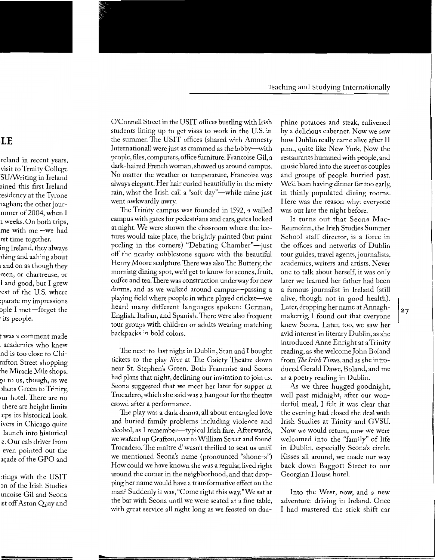O'Connell Street in the USIT offices bustling with Irish students lining up to get visas to work in the U.S. in the summer. The USIT offices (shared with Amnesty International) were just as crammed as the lobby—with people, files, computers, office furniture. Francoise Gil, a dark-haired French woman, showed us around campus. No matter the weather or temperature, Francoise was always elegant. Her hair curled beautifully in the misty rain, what the Irish call a "soft day"—while mine just went awkwardly awry.

The Trinity campus was founded in 1592, a walled campus with gates for pedestrians and cars, gates locked at night. We were shown the classroom where the lectures would take place, the brightly painted (but paint peeling in the corners) "Debating Chamber"—just off the nearby cobblestone square with the beautiful Henry Moore sculpture. There was also The Buttery, the morning dining spot, we'd get to know for scones, fruit, coffee and tea. There was construction underway for new dorms, and as we walked around campus-passing a playing field where people in white played cricket—we heard many different languages spoken: German, English, Italian, and Spanish. There were also frequent tour groups with children or adults wearing matching backpacks in bold colors.

The next-to-last night in Dublin, Stan and I bought tickets to the play *Sive* at The Gaiety Theatre down near St. Stephen's Green. Both Francoise and Seona had plans that night, declining our invitation to join us. Seona suggested that we meet her later for supper at Trocadero, which she said was a hangout for the theatre crowd after a performance.

The play was a dark drama, all about entangled love and buried family problems including violence and alcohol, as I remember-typical Irish fare. Afterwards, we walked up Grafton, over to William Street and found Trocadero.The maitre d' wasn't thrilled to seat us until we mentioned Seona's name (pronounced "shone-a") How could we have known she was a regular, lived right around the corner in the neighborhood, and that dropping her name would have a transformative effect on the man? Suddenly it was, "Come right this way."We sat at the bar with Seona until we were seated at a fine table, with great service all night long as we feasted on dauphine potatoes and steak, enlivened by a delicious cabernet. Now we saw how Dublin really came alive after 11 p.m., quite like New York. Now the restaurants hummed with people, and music blared into the street as couples and groups of people hurried past. We'd been having dinner far too early, in thinly populated dining rooms. Here was the reason why: everyone was out late the night before.

It turns out that Seona Mac-Reamoinn, the Irish Studies Summer School staff director, is a force in the offices and networks of Dublin tour guides, travel agents, journalists, academics, writers and artists. Never one to talk about herself, it was only later we learned her father had been a famous journalist in Ireland (still alive, though not in good health). Later, dropping her name at Annaghmakerrig, I found out that everyone knew Seona. Later, too, we saw her avid interest in literary Dublin, as she introduced Anne Enright at a Trinity reading, as she welcome John Boland from *1he Irish Times,* and as she introduced Gerald Dawe, Boland, and me at a poetry reading in Dublin.

As we three hugged goodnight, well past midnight, after our wonderful meal, I felt it was clear that the evening had closed the deal with Irish Studies at Trinity and GVSU. Now we would return, now we were welcomed into the "family" of life in Dublin, especially Seona's circle. Kisses all around, we made our way back down Baggott Street to our Georgian House hotel.

Into the West, now, and a new adventure: driving in Ireland. Once I had mastered the stick shift car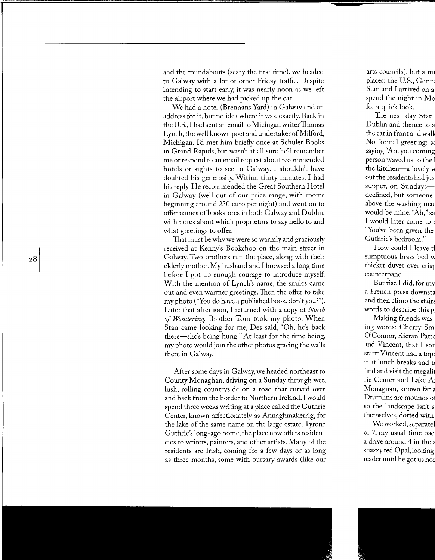and the roundabouts (scary the first time), we headed to Galway with a lot of other Friday traffic. Despite intending to start early, it was nearly noon as we left the airport where we had picked up the car.

We had a hotel (Brennans Yard) in Galway and an address for it, but no idea where it was, exactly. Back in the U.S., I had sent an email to Michigan writer Thomas Lynch, the well known poet and undertaker of Milford, Michigan. I'd met him briefly once at Schuler Books in Grand Rapids, but wasn't at all sure he'd remember me or respond to an email request about recommended hotels or sights to see in Galway. I shouldn't have doubted his generosity. Within thirty minutes, I had his reply. He recommended the Great Southern Hotel in Galway (well out of our price range, with rooms beginning around 230 euro per night) and went on to offer names of bookstores in both Galway and Dublin, with notes about which proprietors to say hello to and what greetings to offer.

That must be why we were so warmly and graciously received at Kenny's Bookshop on the main street in Galway. Two brothers run the place, along with their elderly mother. My husband and I browsed a long time before I got up enough courage to introduce myself. With the mention of Lynch's name, the smiles came out and even warmer greetings. Then the offer to take my photo ("You do have a published book, don't you?"). Later that afternoon, I returned with a copy of *North*  of *Wondering.* Brother Tom took my photo. When Stan came looking for me, Des said, "Oh, he's back there-she's being hung." At least for the time being, my photo would join the other photos gracing the walls there in Galway.

After some days in Galway, we headed northeast to County Monaghan, driving on a Sunday through wet, lush, rolling countryside on a road that curved over and back from the border to Northern Ireland. I would spend three weeks writing at a place called the Guthrie Center, known affectionately as Annaghmakerrig, for the lake of the same name on the large estate. Tyrone Guthrie's long-ago home, the place now offers residencies to writers, painters, and other artists. Many of the residents are Irish, coming for a few days or as long as three months, some with bursary awards (like our

 $28$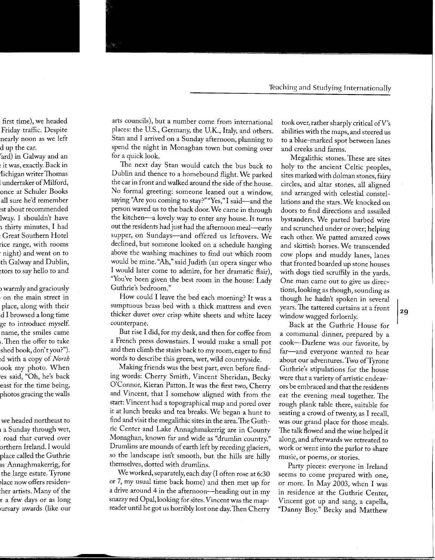arts councils), but a number come from international places: the U.S., Germany, the U.K., Italy, and others. Stan and I arrived on a Sunday afternoon, planning to spend the night in Monaghan town but coming over for a quick look.

The next day Stan would catch the bus back to Dublin and thence to a homebound flight. We parked the car in front and walked around the side of the house. No formal greeting: someone leaned out a window, saying "Are you coming to stay?" "Yes," I said-and the person waved us to the back door. We came in through the kitchen-a lovely way to enter any house. It turns out the residents had just had the afternoon meal-early supper, on Sundays-and offered us leftovers. We declined, but someone looked on a schedule hanging above the washing machines to find out which room would be mine. "Ah," said Judith (an opera singer who I would later come to admire, for her dramatic flair), "You've been given the best room in the house: Lady Guthrie's bedroom."

How could I leave the bed each morning? It was a sumptuous brass bed with a thick mattress and even thicker duvet over crisp white sheets and white lacey counterpane.

But rise I did, for my desk, and then for coffee from a French press downstairs. I would make a small pot and then climb the stairs back to my room, eager to find words to describe this green, wet, wild countryside.

Making friends was the best part, even before finding words: Cherry Smith, Vincent Sheridan, Becky O'Connor, Kieran Patton. It was the first two, Cherry and Vincent, that I somehow aligned with from the start: Vincent had a topographical map and pored over it at lunch breaks and tea breaks. We began a hunt to find and visit the megalithic sites in the area. The Guthrie Center and Lake Annaghmakerrig are in County Monaghan, known far and wide as "drumlin country." Drumlins are mounds of earth left by receding glaciers, so the landscape isn't smooth, but the hills are hilly themselves, dotted with drumlins.

We worked, separately, each day (I often rose at 6:30 or 7, my usual time back home) and then met up for a drive around 4 in the afternoon-heading out in my snazzy red Opal, looking for sites. Vincent was the mapreader until he got us horribly lost one day. Then Cherry took over, rather sharply critical ofV's abilities with the maps, and steered us to a blue-marked spot between lanes and creeks and farms.

Megalithic stones. These are sites holy to the ancient Celtic peoples, sites marked with dolman stones, fairy circles, and altar stones, all aligned and arranged with celestial constellations and the stars. We knocked on doors to find directions and assailed bystanders. We parted barbed wire and scrunched under or over; helping each other. We patted amazed cows and skittish horses. We transcended cow plops and muddy lanes, lanes that fronted boarded up stone houses with dogs tied scruffily in the yards. One man came out to give us directions, looking as though, sounding as though he hadn't spoken in several years. The tattered curtains at a front window wagged forlornly.

Back at the Guthrie House for a communal dinner, prepared by a cook-Darlene was our favorite, by far-and everyone wanted to hear about our adventures. Two ofTyrone Guthrie's stipulations for the house were that a variety of artistic endeavors be embraced and that the residents eat the evening meal together. The rough plank table there, suitable for seating a crowd of twenty, as I recall, was our grand place for those meals. The talk flowed and the wine helped it along, and afterwards we retreated to work or went into the parlor to share music, or poems, or stories.

Party pieces: everyone in Ireland seems to come prepared with one, or more. In May 2003, when I was in residence at the Guthrie Center, Vincent got up and sang, a capella, "Danny Boy." Becky and Matthew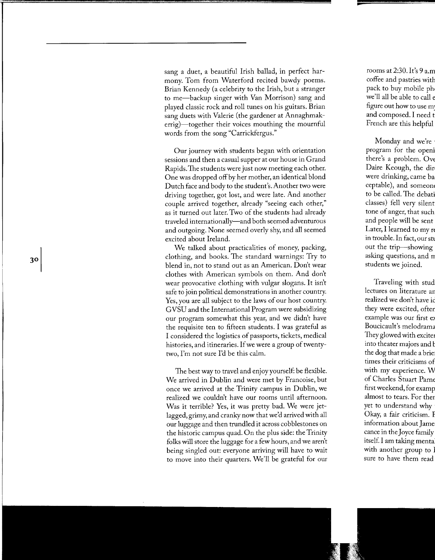sang a duet, a beautiful Irish ballad, in perfect harmony. Tom from Waterford recited bawdy poems. Brian Kennedy (a celebrity to the Irish, but a stranger to me-backup singer with Van Morrison) sang and played classic rock and roll tunes on his guitars. Brian sang duets with Valerie (the gardener at Annaghmakerrig)-together their voices mouthing the mournful words from the song "Carrickfergus."

Our journey with students began with orientation sessions and then a casual supper at our house in Grand Rapids.The students were just now meeting each other. One was dropped off by her mother, an identical blond Dutch face and body to the student's. Another two were driving together, got lost, and were late. And another couple arrived together, already "seeing each other," as it turned out later. Two of the students had already traveled internationally-and both seemed adventurous and outgoing. None seemed overly shy, and all seemed excited about Ireland.

We talked about practicalities of money, packing, clothing, and books. The standard warnings: Try to blend in, not to stand out as an American. Don't wear clothes with American symbols on them. And don't wear provocative clothing with vulgar slogans. It isn't safe to join political demonstrations in another country. Yes, you are all subject to the laws of our host country. GVSU and the International Program were subsidizing our program somewhat this year, and we didn't have the requisite ten to fifteen students. I was grateful as I considered the logistics of passports, tickets, medical histories, and itineraries. If we were a group of twentytwo, I'm not sure I'd be this calm.

The best way to travel and enjoy yourself: be flexible. We arrived in Dublin and were met by Francoise, but once we arrived at the Trinity campus in Dublin, we realized we couldn't have our rooms until afternoon. Was it terrible? Yes, it was pretty bad. We were jetlagged, grimy, and cranky now that we'd arrived with all our luggage and then trundled it across cobblestones on the historic campus quad. On the plus side: the Trinity folks will store the luggage for a few hours, and we aren't being singled out: everyone arriving will have to wait to move into their quarters. We'll be grateful for our

30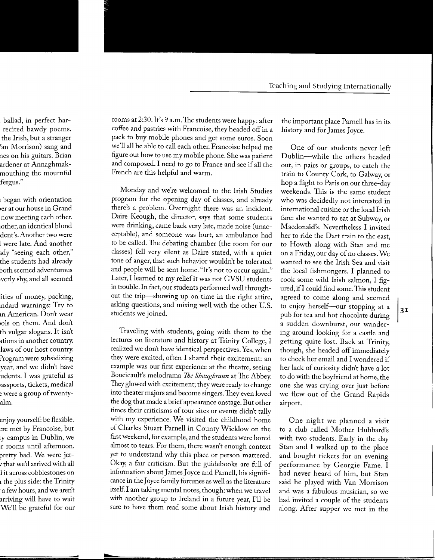rooms at 2:30. It's 9 a.m. The students were happy: after coffee and pastries with Francoise, they headed off in a pack to buy mobile phones and get some euros. Soon we'll all be able to call each other. Francoise helped me figure out how to use my mobile phone. She was patient and composed. I need to go to France and see if all the French are this helpful and warm.

Monday and we're welcomed to the Irish Studies program for the opening day of classes, and already there's a problem. Overnight there was an incident. Daire Keough, the director, says that some students were drinking, came back very late, made noise (unacceptable), and someone was hurt, an ambulance had to be called. The debating chamber (the room for our classes) fell very silent as Daire stated, with a quiet tone of anger, that such behavior wouldn't be tolerated and people will be sent home. "It's not to occur again." Later, I learned to my relief it was not GVSU students in trouble. In fact, our students performed well throughout the trip-showing up on time in the right attire, asking questions, and mixing well with the other U.S. students we joined.

Traveling with students, going with them to the lectures on literature and history at Trinity College, I realized we don't have identical perspectives. Yes, when they were excited, often I shared their excitement: an example was our first experience at the theatre, seeing Boucicault's melodrama *1he Shaughraun* at The Abbey. They glowed with excitement; they were ready to change into theater majors and become singers. They even loved the dog that made a brief appearance onstage. But other times their criticisms of tour sites or events didn't tally with my experience. We visited the childhood home of Charles Stuart Parnell in County Wicklow on the first weekend, for example, and the students were bored almost to tears. For them, there wasn't enough context yet to understand why this place or person mattered. Okay, a fair criticism. But the guidebooks are full of information about James Joyce and Parnell, his significance in the Joyce family fortunes as well as the literature itself. I am taking mental notes, though: when we travel with another group to Ireland in a future year, I'll be sure to have them read some about Irish history and

the important place Parnell has in its history and for James Joyce.

One of our students never left Dublin-while the others headed out, in pairs or groups, to catch the train to County Cork, to Galway, or hop a flight to Paris on our three-day weekends. This is the same student who was decidedly not interested in international cuisine or the local Irish fare: she wanted to eat at Subway, or Macdonald's. Nevertheless I invited her to ride the Dart train to the east, to Howth along with Stan and me on a Friday, our day of no classes. We wanted to see the Irish Sea and visit the local fishmongers. I planned to cook some wild Irish salmon, I figured, ifl could find some. This student agreed to come along and seemed to enjoy herself-our stopping at a pub for tea and hot chocolate during a sudden downburst, our wandering around looking for a castle and getting quite lost. Back at Trinity, though, she headed off immediately to check her email and I wondered if her lack of curiosity didn't have a lot to do with the boyfriend at home, the one she was crying over just before we flew out of the Grand Rapids airport.

One night we planned a visit to a club called Mother Hubbard's with two students. Early in the day Stan and I walked up to the place and bought tickets for an evening performance by Georgie Fame. I had never heard of him, but Stan said he played with Van Morrison and was a fabulous musician, so we had invited a couple of the students along. After supper we met in the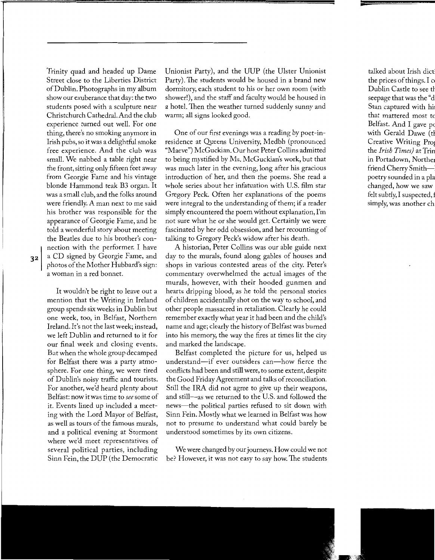Trinity quad and headed up Dame Street close to the Liberties District of Dublin. Photographs in my album show our exuberance that day: the two students posed with a sculpture near Christchurch Cathedral. And the club experience turned out well. For one thing, there's no smoking anymore in Irish pubs, so it was a delightful smoke free experience. And the club was small. We nabbed a table right near the front, sitting only fifteen feet away from Georgie Fame and his vintage blonde Hammond teak B3 organ. It was a small club, and the folks around were friendly. A man next to me said his brother was responsible for the appearance of Georgie Fame, and he told a wonderful story about meeting the Beatles due to his brother's connection with the performer. I have a CD signed by Georgie Fame, and photos of the Mother Hubbard's sign: a woman in a red bonnet.

It wouldn't be right to leave out a mention that the Writing in Ireland group spends six weeks in Dublin but one week, too, in Belfast, Northern Ireland. It's not the last week; instead, we left Dublin and returned to it for our final week and closing events. But when the whole group decamped for Belfast there was a party atmosphere. For one thing, we were tired of Dublin's noisy traffic and tourists. For another, we'd heard plenty about Belfast: now it was time to *see* some of it. Events lined up included a meeting with the Lord Mayor of Belfast, as well as tours of the famous murals, and a political evening at Stormont where we'd meet representatives of several political parties, including Sinn Fein, the DUP (the Democratic Unionist Party), and the UUP (the Ulster Unionist Party). The students would be housed in a brand new dormitory, each student to his or her own room (with shower!), and the staff and faculty would be housed in a hotel. Then the weather turned suddenly sunny and warm; all signs looked good.

One of our first evenings was a reading by poet-inresidence at Queens University, Medbh (pronounced "Maeve") McGuckian. Our host Peter Collins admitted to being mystified by Ms. McGuckian's work, but that was much later in the evening, long after his gracious introduction of her, and then the poems. She read a whole series about her infatuation with U.S. film star Gregory Peck. Often her explanations of the poems were integral to the understanding of them; if a reader simply encountered the poem without explanation, I'm not sure what he or she would get. Certainly we were fascinated by her odd obsession, and her recounting of talking to Gregory Peck's widow after his death.

A historian, Peter Collins was our able guide next day to the murals, found along gables of houses and shops in various contested areas of the city. Peter's commentary overwhelmed the actual images of the murals, however, with their hooded gunmen and hearts dripping blood, as he told the personal stories of children accidentally shot on the way to school, and other people massacred in retaliation. Clearly he could remember exactly what year it had been and the child's name and age; clearly the history of Belfast was burned into his memory, the way the fires at times lit the city and marked the landscape.

Belfast completed the picture for us, helped us understand-if ever outsiders can-how fierce the conflicts had been and still were, to some extent, despite the Good Friday Agreement and talks of reconciliation. Still the IRA did not agree to give up their weapons, and still-as we returned to the U.S. and followed the news—the political parties refused to sit down with Sinn Fein. Mostly what we learned in Belfast was how not to presume to understand what could barely be understood sometimes by its own citizens.

We were changed by our journeys. How could we not be? However, it was not easy to say how. The students